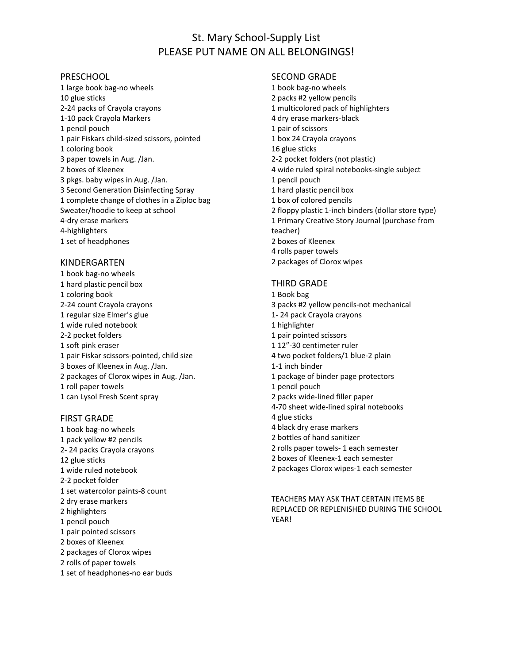# St. Mary School-Supply List PLEASE PUT NAME ON ALL BELONGINGS!

### PRESCHOOL

1 large book bag-no wheels 10 glue sticks 2-24 packs of Crayola crayons 1-10 pack Crayola Markers 1 pencil pouch 1 pair Fiskars child-sized scissors, pointed 1 coloring book 3 paper towels in Aug. /Jan. 2 boxes of Kleenex 3 pkgs. baby wipes in Aug. /Jan. 3 Second Generation Disinfecting Spray 1 complete change of clothes in a Ziploc bag Sweater/hoodie to keep at school 4-dry erase markers 4-highlighters 1 set of headphones

#### KINDERGARTEN

1 book bag-no wheels 1 hard plastic pencil box 1 coloring book 2-24 count Crayola crayons 1 regular size Elmer's glue 1 wide ruled notebook 2-2 pocket folders 1 soft pink eraser 1 pair Fiskar scissors-pointed, child size 3 boxes of Kleenex in Aug. /Jan. 2 packages of Clorox wipes in Aug. /Jan. 1 roll paper towels 1 can Lysol Fresh Scent spray

#### FIRST GRADE

1 book bag-no wheels 1 pack yellow #2 pencils 2- 24 packs Crayola crayons 12 glue sticks 1 wide ruled notebook 2-2 pocket folder 1 set watercolor paints-8 count 2 dry erase markers 2 highlighters 1 pencil pouch 1 pair pointed scissors 2 boxes of Kleenex 2 packages of Clorox wipes 2 rolls of paper towels 1 set of headphones-no ear buds

## SECOND GRADE

1 book bag-no wheels 2 packs #2 yellow pencils 1 multicolored pack of highlighters 4 dry erase markers-black 1 pair of scissors 1 box 24 Crayola crayons 16 glue sticks 2-2 pocket folders (not plastic) 4 wide ruled spiral notebooks-single subject 1 pencil pouch 1 hard plastic pencil box 1 box of colored pencils 2 floppy plastic 1-inch binders (dollar store type) 1 Primary Creative Story Journal (purchase from teacher) 2 boxes of Kleenex 4 rolls paper towels 2 packages of Clorox wipes

### THIRD GRADE

- 1 Book bag
- 3 packs #2 yellow pencils-not mechanical
- 1- 24 pack Crayola crayons
- 1 highlighter
- 1 pair pointed scissors
- 1 12"-30 centimeter ruler
- 4 two pocket folders/1 blue-2 plain
- 1-1 inch binder
- 1 package of binder page protectors
- 1 pencil pouch
- 2 packs wide-lined filler paper
- 4-70 sheet wide-lined spiral notebooks
- 4 glue sticks
- 4 black dry erase markers
- 2 bottles of hand sanitizer
- 2 rolls paper towels- 1 each semester
- 2 boxes of Kleenex-1 each semester
- 2 packages Clorox wipes-1 each semester

TEACHERS MAY ASK THAT CERTAIN ITEMS BE REPLACED OR REPLENISHED DURING THE SCHOOL YEAR!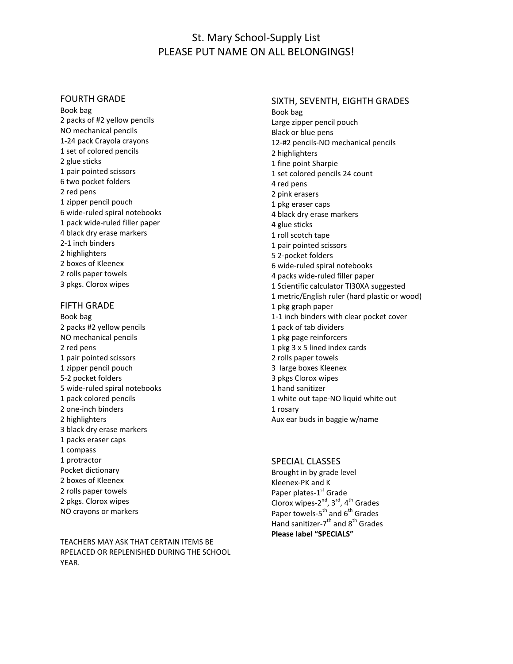# St. Mary School-Supply List PLEASE PUT NAME ON ALL BELONGINGS!

## FOURTH GRADE

Book bag 2 packs of #2 yellow pencils NO mechanical pencils 1-24 pack Crayola crayons 1 set of colored pencils 2 glue sticks 1 pair pointed scissors 6 two pocket folders 2 red pens 1 zipper pencil pouch 6 wide-ruled spiral notebooks 1 pack wide-ruled filler paper 4 black dry erase markers 2-1 inch binders 2 highlighters 2 boxes of Kleenex 2 rolls paper towels 3 pkgs. Clorox wipes

#### FIFTH GRADE

Book bag 2 packs #2 yellow pencils NO mechanical pencils 2 red pens 1 pair pointed scissors 1 zipper pencil pouch 5-2 pocket folders 5 wide-ruled spiral notebooks 1 pack colored pencils 2 one-inch binders 2 highlighters 3 black dry erase markers 1 packs eraser caps 1 compass 1 protractor Pocket dictionary 2 boxes of Kleenex 2 rolls paper towels 2 pkgs. Clorox wipes NO crayons or markers

TEACHERS MAY ASK THAT CERTAIN ITEMS BE RPELACED OR REPLENISHED DURING THE SCHOOL YEAR.

SIXTH, SEVENTH, EIGHTH GRADES Book bag Large zipper pencil pouch Black or blue pens 12-#2 pencils-NO mechanical pencils 2 highlighters 1 fine point Sharpie 1 set colored pencils 24 count 4 red pens 2 pink erasers 1 pkg eraser caps 4 black dry erase markers 4 glue sticks 1 roll scotch tape 1 pair pointed scissors 5 2-pocket folders 6 wide-ruled spiral notebooks 4 packs wide-ruled filler paper 1 Scientific calculator TI30XA suggested 1 metric/English ruler (hard plastic or wood) 1 pkg graph paper 1-1 inch binders with clear pocket cover 1 pack of tab dividers 1 pkg page reinforcers 1 pkg 3 x 5 lined index cards 2 rolls paper towels 3 large boxes Kleenex 3 pkgs Clorox wipes 1 hand sanitizer 1 white out tape-NO liquid white out 1 rosary Aux ear buds in baggie w/name

# SPECIAL CLASSES

Brought in by grade level Kleenex-PK and K Paper plates-1<sup>st</sup> Grade Clorox wipes-2<sup>nd</sup>, 3<sup>rd</sup>, 4<sup>th</sup> Grades Paper towels-5<sup>th</sup> and 6<sup>th</sup> Grades Hand sanitizer-7<sup>th</sup> and 8<sup>th</sup> Grades **Please label "SPECIALS"**